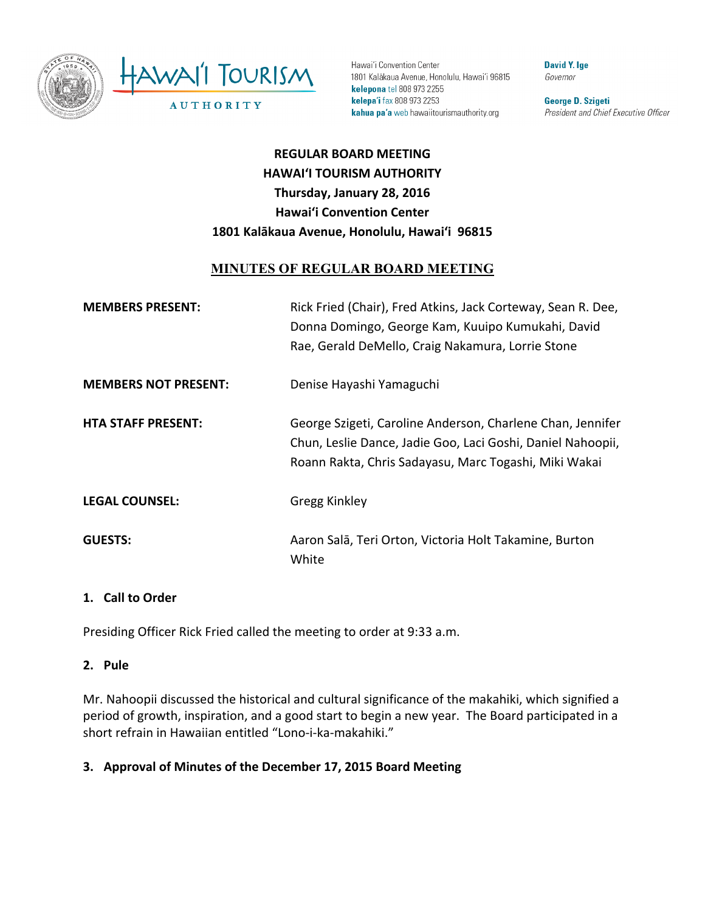

Hawai'i Convention Center 1801 Kalākaua Avenue, Honolulu, Hawai'i 96815 kelepona tel 808 973 2255 kelepa'i fax 808 973 2253 kahua pa'a web hawaiitourismauthority.org

**David Y. Ige** Governor

George D. Szigeti President and Chief Executive Officer

# **REGULAR BOARD MEETING HAWAI'I TOURISM AUTHORITY Thursday, January 28, 2016 Hawai'i Convention Center** 1801 Kalākaua Avenue, Honolulu, Hawai'i 96815

## **MINUTES OF REGULAR BOARD MEETING**

| <b>MEMBERS PRESENT:</b>     | Rick Fried (Chair), Fred Atkins, Jack Corteway, Sean R. Dee,<br>Donna Domingo, George Kam, Kuuipo Kumukahi, David<br>Rae, Gerald DeMello, Craig Nakamura, Lorrie Stone             |
|-----------------------------|------------------------------------------------------------------------------------------------------------------------------------------------------------------------------------|
| <b>MEMBERS NOT PRESENT:</b> | Denise Hayashi Yamaguchi                                                                                                                                                           |
| <b>HTA STAFF PRESENT:</b>   | George Szigeti, Caroline Anderson, Charlene Chan, Jennifer<br>Chun, Leslie Dance, Jadie Goo, Laci Goshi, Daniel Nahoopii,<br>Roann Rakta, Chris Sadayasu, Marc Togashi, Miki Wakai |
| <b>LEGAL COUNSEL:</b>       | Gregg Kinkley                                                                                                                                                                      |
| <b>GUESTS:</b>              | Aaron Salā, Teri Orton, Victoria Holt Takamine, Burton<br>White                                                                                                                    |

#### 1. **Call to Order**

Presiding Officer Rick Fried called the meeting to order at 9:33 a.m.

#### **2. Pule**

Mr. Nahoopii discussed the historical and cultural significance of the makahiki, which signified a period of growth, inspiration, and a good start to begin a new year. The Board participated in a short refrain in Hawaiian entitled "Lono-i-ka-makahiki."

#### **3. Approval of Minutes of the December 17, 2015 Board Meeting**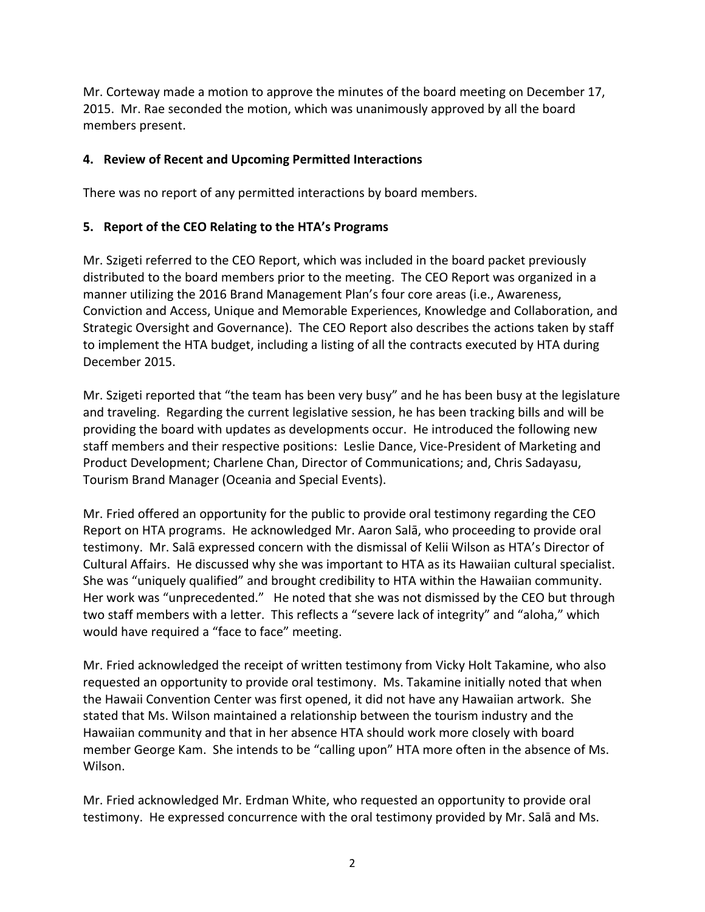Mr. Corteway made a motion to approve the minutes of the board meeting on December 17, 2015. Mr. Rae seconded the motion, which was unanimously approved by all the board members present.

#### **4. Review of Recent and Upcoming Permitted Interactions**

There was no report of any permitted interactions by board members.

#### **5.** Report of the CEO Relating to the HTA's Programs

Mr. Szigeti referred to the CEO Report, which was included in the board packet previously distributed to the board members prior to the meeting. The CEO Report was organized in a manner utilizing the 2016 Brand Management Plan's four core areas (i.e., Awareness, Conviction and Access, Unique and Memorable Experiences, Knowledge and Collaboration, and Strategic Oversight and Governance). The CEO Report also describes the actions taken by staff to implement the HTA budget, including a listing of all the contracts executed by HTA during December 2015.

Mr. Szigeti reported that "the team has been very busy" and he has been busy at the legislature and traveling. Regarding the current legislative session, he has been tracking bills and will be providing the board with updates as developments occur. He introduced the following new staff members and their respective positions: Leslie Dance, Vice-President of Marketing and Product Development; Charlene Chan, Director of Communications; and, Chris Sadayasu, Tourism Brand Manager (Oceania and Special Events).

Mr. Fried offered an opportunity for the public to provide oral testimony regarding the CEO Report on HTA programs. He acknowledged Mr. Aaron Sala, who proceeding to provide oral testimony. Mr. Salā expressed concern with the dismissal of Kelii Wilson as HTA's Director of Cultural Affairs. He discussed why she was important to HTA as its Hawaiian cultural specialist. She was "uniquely qualified" and brought credibility to HTA within the Hawaiian community. Her work was "unprecedented." He noted that she was not dismissed by the CEO but through two staff members with a letter. This reflects a "severe lack of integrity" and "aloha," which would have required a "face to face" meeting.

Mr. Fried acknowledged the receipt of written testimony from Vicky Holt Takamine, who also requested an opportunity to provide oral testimony. Ms. Takamine initially noted that when the Hawaii Convention Center was first opened, it did not have any Hawaiian artwork. She stated that Ms. Wilson maintained a relationship between the tourism industry and the Hawaiian community and that in her absence HTA should work more closely with board member George Kam. She intends to be "calling upon" HTA more often in the absence of Ms. Wilson.

Mr. Fried acknowledged Mr. Erdman White, who requested an opportunity to provide oral testimony. He expressed concurrence with the oral testimony provided by Mr. Salā and Ms.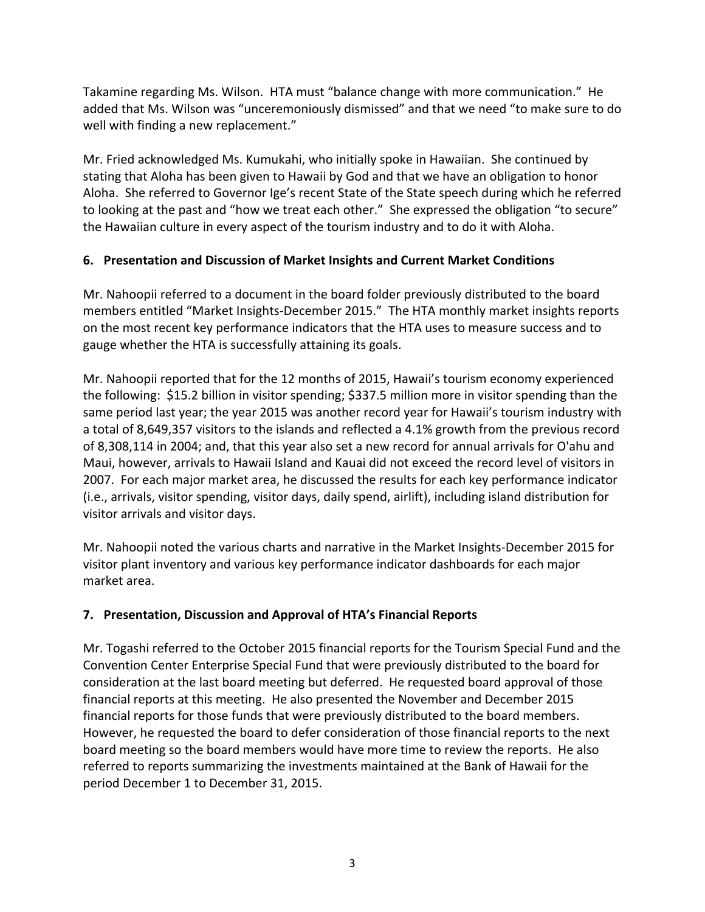Takamine regarding Ms. Wilson. HTA must "balance change with more communication." He added that Ms. Wilson was "unceremoniously dismissed" and that we need "to make sure to do well with finding a new replacement."

Mr. Fried acknowledged Ms. Kumukahi, who initially spoke in Hawaiian. She continued by stating that Aloha has been given to Hawaii by God and that we have an obligation to honor Aloha. She referred to Governor Ige's recent State of the State speech during which he referred to looking at the past and "how we treat each other." She expressed the obligation "to secure" the Hawaiian culture in every aspect of the tourism industry and to do it with Aloha.

## **6. Presentation and Discussion of Market Insights and Current Market Conditions**

Mr. Nahoopii referred to a document in the board folder previously distributed to the board members entitled "Market Insights-December 2015." The HTA monthly market insights reports on the most recent key performance indicators that the HTA uses to measure success and to gauge whether the HTA is successfully attaining its goals.

Mr. Nahoopii reported that for the 12 months of 2015, Hawaii's tourism economy experienced the following: \$15.2 billion in visitor spending; \$337.5 million more in visitor spending than the same period last year; the year 2015 was another record year for Hawaii's tourism industry with a total of 8,649,357 visitors to the islands and reflected a 4.1% growth from the previous record of 8,308,114 in 2004; and, that this year also set a new record for annual arrivals for O'ahu and Maui, however, arrivals to Hawaii Island and Kauai did not exceed the record level of visitors in 2007. For each major market area, he discussed the results for each key performance indicator (i.e., arrivals, visitor spending, visitor days, daily spend, airlift), including island distribution for visitor arrivals and visitor days.

Mr. Nahoopii noted the various charts and narrative in the Market Insights-December 2015 for visitor plant inventory and various key performance indicator dashboards for each major market area.

## **7. Presentation, Discussion and Approval of HTA's Financial Reports**

Mr. Togashi referred to the October 2015 financial reports for the Tourism Special Fund and the Convention Center Enterprise Special Fund that were previously distributed to the board for consideration at the last board meeting but deferred. He requested board approval of those financial reports at this meeting. He also presented the November and December 2015 financial reports for those funds that were previously distributed to the board members. However, he requested the board to defer consideration of those financial reports to the next board meeting so the board members would have more time to review the reports. He also referred to reports summarizing the investments maintained at the Bank of Hawaii for the period December 1 to December 31, 2015.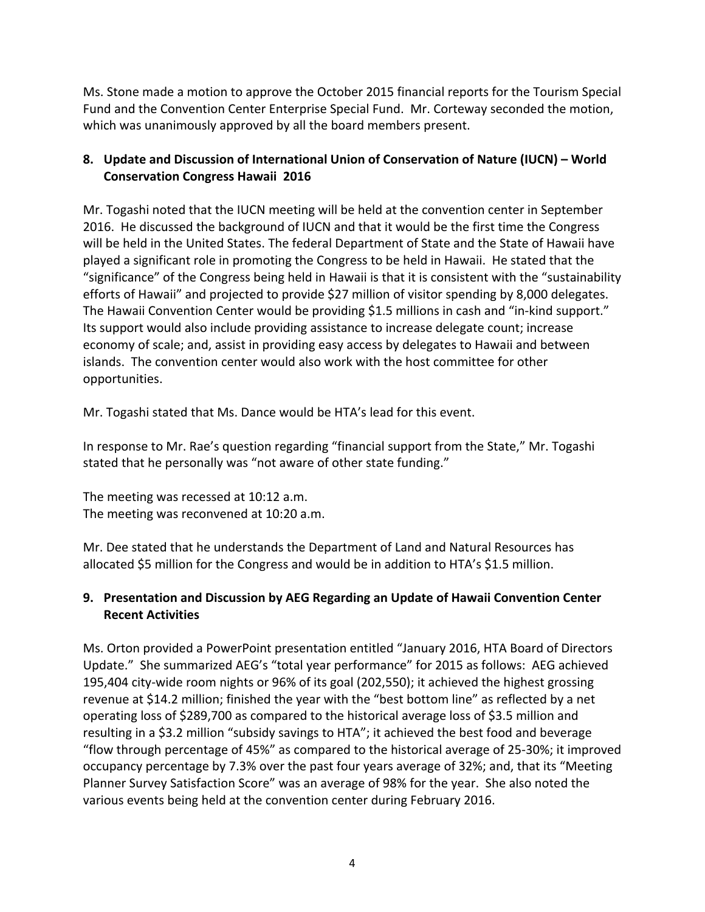Ms. Stone made a motion to approve the October 2015 financial reports for the Tourism Special Fund and the Convention Center Enterprise Special Fund. Mr. Corteway seconded the motion, which was unanimously approved by all the board members present.

## 8. Update and Discussion of International Union of Conservation of Nature (IUCN) – World **Conservation Congress Hawaii 2016**

Mr. Togashi noted that the IUCN meeting will be held at the convention center in September 2016. He discussed the background of IUCN and that it would be the first time the Congress will be held in the United States. The federal Department of State and the State of Hawaii have played a significant role in promoting the Congress to be held in Hawaii. He stated that the "significance" of the Congress being held in Hawaii is that it is consistent with the "sustainability efforts of Hawaii" and projected to provide \$27 million of visitor spending by 8,000 delegates. The Hawaii Convention Center would be providing \$1.5 millions in cash and "in-kind support." Its support would also include providing assistance to increase delegate count; increase economy of scale; and, assist in providing easy access by delegates to Hawaii and between islands. The convention center would also work with the host committee for other opportunities.

Mr. Togashi stated that Ms. Dance would be HTA's lead for this event.

In response to Mr. Rae's question regarding "financial support from the State," Mr. Togashi stated that he personally was "not aware of other state funding."

The meeting was recessed at 10:12 a.m. The meeting was reconvened at 10:20 a.m.

Mr. Dee stated that he understands the Department of Land and Natural Resources has allocated \$5 million for the Congress and would be in addition to HTA's \$1.5 million.

## **9.** Presentation and Discussion by AEG Regarding an Update of Hawaii Convention Center **Recent Activities**

Ms. Orton provided a PowerPoint presentation entitled "January 2016, HTA Board of Directors Update." She summarized AEG's "total year performance" for 2015 as follows: AEG achieved 195,404 city-wide room nights or 96% of its goal (202,550); it achieved the highest grossing revenue at \$14.2 million; finished the year with the "best bottom line" as reflected by a net operating loss of \$289,700 as compared to the historical average loss of \$3.5 million and resulting in a \$3.2 million "subsidy savings to HTA"; it achieved the best food and beverage "flow through percentage of 45%" as compared to the historical average of 25-30%; it improved occupancy percentage by 7.3% over the past four years average of 32%; and, that its "Meeting Planner Survey Satisfaction Score" was an average of 98% for the year. She also noted the various events being held at the convention center during February 2016.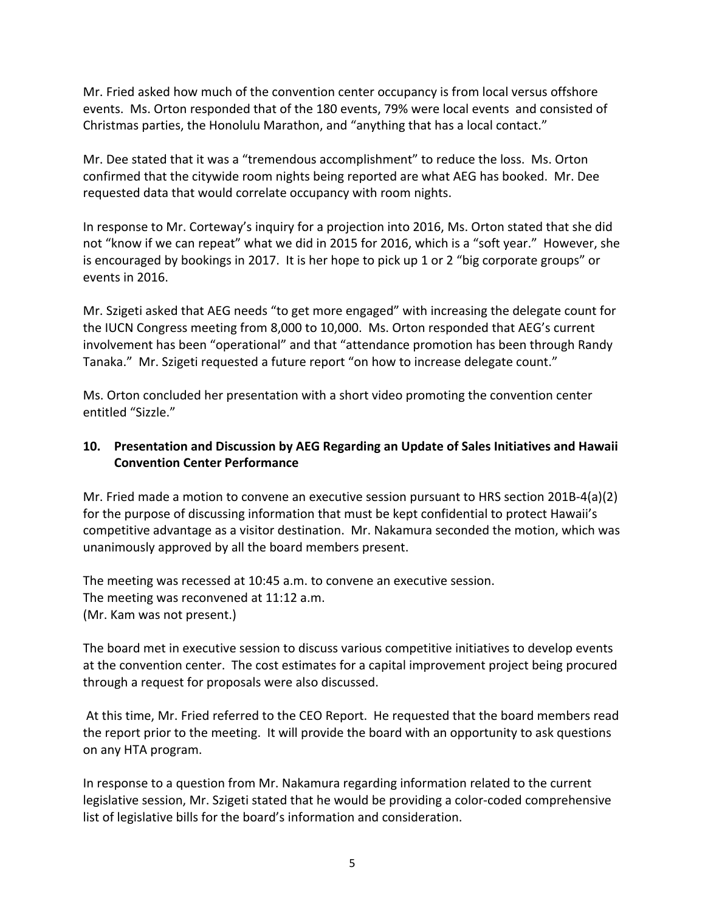Mr. Fried asked how much of the convention center occupancy is from local versus offshore events. Ms. Orton responded that of the 180 events, 79% were local events and consisted of Christmas parties, the Honolulu Marathon, and "anything that has a local contact."

Mr. Dee stated that it was a "tremendous accomplishment" to reduce the loss. Ms. Orton confirmed that the citywide room nights being reported are what AEG has booked. Mr. Dee requested data that would correlate occupancy with room nights.

In response to Mr. Corteway's inquiry for a projection into 2016, Ms. Orton stated that she did not "know if we can repeat" what we did in 2015 for 2016, which is a "soft year." However, she is encouraged by bookings in 2017. It is her hope to pick up 1 or 2 "big corporate groups" or events in 2016.

Mr. Szigeti asked that AEG needs "to get more engaged" with increasing the delegate count for the IUCN Congress meeting from 8,000 to 10,000. Ms. Orton responded that AEG's current involvement has been "operational" and that "attendance promotion has been through Randy Tanaka." Mr. Szigeti requested a future report "on how to increase delegate count."

Ms. Orton concluded her presentation with a short video promoting the convention center entitled "Sizzle."

## **10.** Presentation and Discussion by AEG Regarding an Update of Sales Initiatives and Hawaii **Convention Center Performance**

Mr. Fried made a motion to convene an executive session pursuant to HRS section 201B-4(a)(2) for the purpose of discussing information that must be kept confidential to protect Hawaii's competitive advantage as a visitor destination. Mr. Nakamura seconded the motion, which was unanimously approved by all the board members present.

The meeting was recessed at 10:45 a.m. to convene an executive session. The meeting was reconvened at 11:12 a.m. (Mr. Kam was not present.)

The board met in executive session to discuss various competitive initiatives to develop events at the convention center. The cost estimates for a capital improvement project being procured through a request for proposals were also discussed.

At this time, Mr. Fried referred to the CEO Report. He requested that the board members read the report prior to the meeting. It will provide the board with an opportunity to ask questions on any HTA program.

In response to a question from Mr. Nakamura regarding information related to the current legislative session, Mr. Szigeti stated that he would be providing a color-coded comprehensive list of legislative bills for the board's information and consideration.